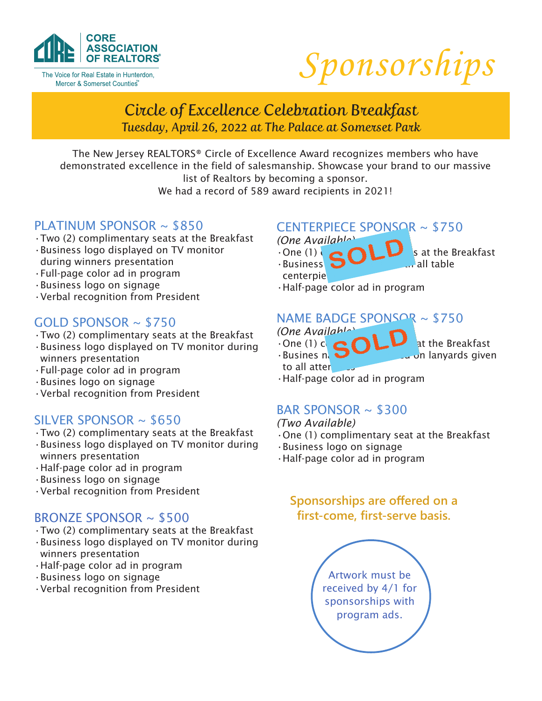

The Voice for Real Estate in Hunterdon, Mercer & Somerset Counties"



# Circle of Excellence Celebration Breakfast Tuesday, April 26, 2022 at The Palace at Somerset Park

The New Jersey REALTORS® Circle of Excellence Award recognizes members who have demonstrated excellence in the field of salesmanship. Showcase your brand to our massive list of Realtors by becoming a sponsor.

We had a record of 589 award recipients in 2021!

### PLATINUM SPONSOR ~ \$850

- •Two (2) complimentary seats at the Breakfast
- •Business logo displayed on TV monitor during winners presentation
- •Full-page color ad in program
- •Business logo on signage
- •Verbal recognition from President

# GOLD SPONSOR ~ \$750

- •Two (2) complimentary seats at the Breakfast
- •Business logo displayed on TV monitor during winners presentation
- •Full-page color ad in program
- •Busines logo on signage
- •Verbal recognition from President

### SILVER SPONSOR  $\sim$  \$650

- •Two (2) complimentary seats at the Breakfast
- •Business logo displayed on TV monitor during winners presentation
- •Half-page color ad in program
- •Business logo on signage
- •Verbal recognition from President

### BRONZE SPONSOR ~ \$500

- •Two (2) complimentary seats at the Breakfast
- •Business logo displayed on TV monitor during winners presentation
- •Half-page color ad in program
- •Business logo on signage
- •Verbal recognition from President

# CENTERPIECE SPONSOR ~ \$750

- *(One Available)*
- $\cdot$ One (1)  $\bullet$   $\bullet$   $\bullet$   $\bullet$   $\bullet$   $\bullet$   $\bullet$  sat the Breakfast  $\cdot$ Business  $\bigcirc$  including all table
- centerpie
- •Half-page color ad in program

### NAME BADGE SPONSOR ~ \$750

- *(One Available)*
- $\cdot$  One (1) complete  $\blacksquare$  at the Breakfast
- $\cdot$ Busines namely **by the languards** given to all atter
- •Half-page color ad in program

### BAR SPONSOR  $\sim$  \$300

#### *(Two Available)*

- •One (1) complimentary seat at the Breakfast
- •Business logo on signage
- •Half-page color ad in program

### **Sponsorships are offered on a first-come, first-serve basis.**

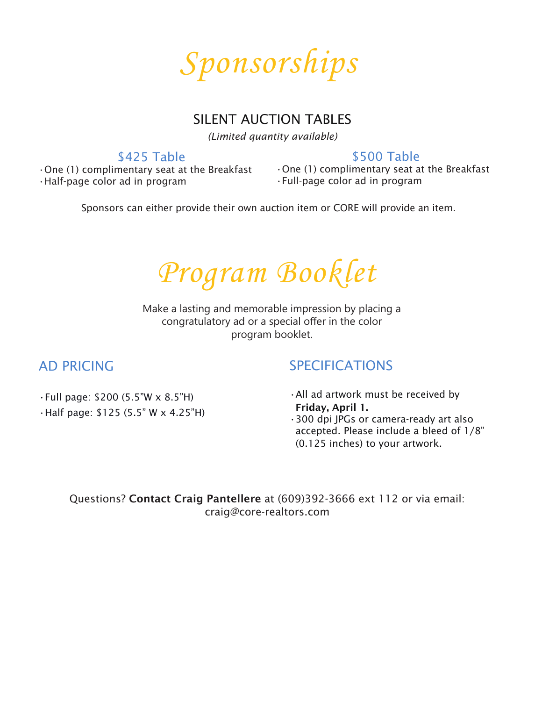

## SILENT AUCTION TABLES

*(Limited quantity available)*

### \$425 Table

\$500 Table

•One (1) complimentary seat at the Breakfast •Half-page color ad in program

•One (1) complimentary seat at the Breakfast •Full-page color ad in program

Sponsors can either provide their own auction item or CORE will provide an item.

*Program Booklet*

Make a lasting and memorable impression by placing a congratulatory ad or a special offer in the color program booklet.

# AD PRICING

# SPECIFICATIONS

•Full page: \$200 (5.5"W x 8.5"H) •Half page: \$125 (5.5" W x 4.25"H) •All ad artwork must be received by Friday, April 1. •300 dpi JPGs or camera-ready art also accepted. Please include a bleed of 1/8" (0.125 inches) to your artwork.

Questions? Contact Craig Pantellere at (609)392-3666 ext 112 or via email: craig@core-realtors.com